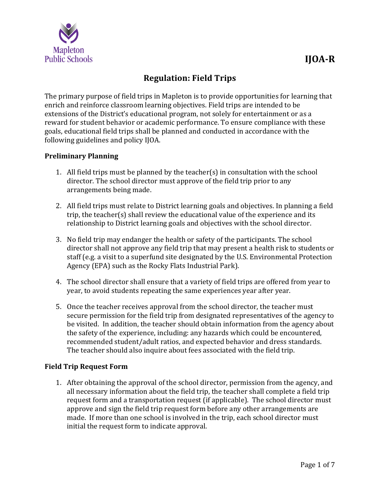

# **Regulation: Field Trips**

The primary purpose of field trips in Mapleton is to provide opportunities for learning that enrich and reinforce classroom learning objectives. Field trips are intended to be extensions of the District's educational program, not solely for entertainment or as a reward for student behavior or academic performance. To ensure compliance with these goals, educational field trips shall be planned and conducted in accordance with the following guidelines and policy IJOA.

# **Preliminary Planning**

- 1. All field trips must be planned by the teacher(s) in consultation with the school director. The school director must approve of the field trip prior to any arrangements being made.
- 2. All field trips must relate to District learning goals and objectives. In planning a field trip, the teacher(s) shall review the educational value of the experience and its relationship to District learning goals and objectives with the school director.
- 3. No field trip may endanger the health or safety of the participants. The school director shall not approve any field trip that may present a health risk to students or staff (e.g. a visit to a superfund site designated by the U.S. Environmental Protection Agency (EPA) such as the Rocky Flats Industrial Park).
- 4. The school director shall ensure that a variety of field trips are offered from year to year, to avoid students repeating the same experiences year after year.
- 5. Once the teacher receives approval from the school director, the teacher must secure permission for the field trip from designated representatives of the agency to be visited. In addition, the teacher should obtain information from the agency about the safety of the experience, including: any hazards which could be encountered, recommended student/adult ratios, and expected behavior and dress standards. The teacher should also inquire about fees associated with the field trip.

# **Field Trip Request Form**

1. After obtaining the approval of the school director, permission from the agency, and all necessary information about the field trip, the teacher shall complete a field trip request form and a transportation request (if applicable). The school director must approve and sign the field trip request form before any other arrangements are made. If more than one school is involved in the trip, each school director must initial the request form to indicate approval.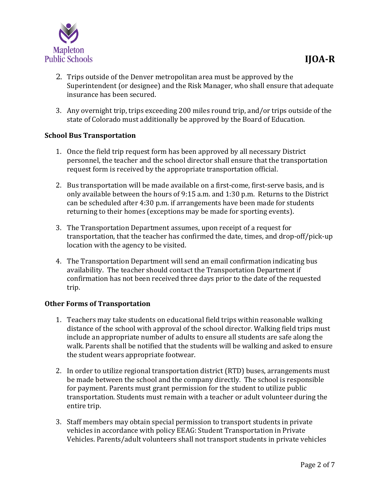

- 2. Trips outside of the Denver metropolitan area must be approved by the Superintendent (or designee) and the Risk Manager, who shall ensure that adequate insurance has been secured.
- 3. Any overnight trip, trips exceeding 200 miles round trip, and/or trips outside of the state of Colorado must additionally be approved by the Board of Education.

# **School Bus Transportation**

- 1. Once the field trip request form has been approved by all necessary District personnel, the teacher and the school director shall ensure that the transportation request form is received by the appropriate transportation official.
- 2. Bus transportation will be made available on a first-come, first-serve basis, and is only available between the hours of 9:15 a.m. and 1:30 p.m. Returns to the District can be scheduled after 4:30 p.m. if arrangements have been made for students returning to their homes (exceptions may be made for sporting events).
- 3. The Transportation Department assumes, upon receipt of a request for transportation, that the teacher has confirmed the date, times, and drop-off/pick-up location with the agency to be visited.
- 4. The Transportation Department will send an email confirmation indicating bus availability. The teacher should contact the Transportation Department if confirmation has not been received three days prior to the date of the requested trip.

# **Other Forms of Transportation**

- 1. Teachers may take students on educational field trips within reasonable walking distance of the school with approval of the school director. Walking field trips must include an appropriate number of adults to ensure all students are safe along the walk. Parents shall be notified that the students will be walking and asked to ensure the student wears appropriate footwear.
- 2. In order to utilize regional transportation district (RTD) buses, arrangements must be made between the school and the company directly. The school is responsible for payment. Parents must grant permission for the student to utilize public transportation. Students must remain with a teacher or adult volunteer during the entire trip.
- 3. Staff members may obtain special permission to transport students in private vehicles in accordance with policy EEAG: Student Transportation in Private Vehicles. Parents/adult volunteers shall not transport students in private vehicles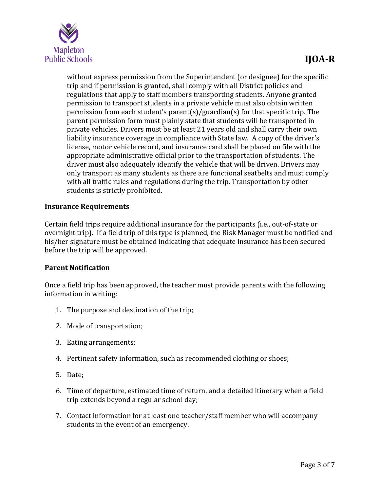

without express permission from the Superintendent (or designee) for the specific trip and if permission is granted, shall comply with all District policies and regulations that apply to staff members transporting students. Anyone granted permission to transport students in a private vehicle must also obtain written permission from each student's parent(s)/guardian(s) for that specific trip. The parent permission form must plainly state that students will be transported in private vehicles. Drivers must be at least 21 years old and shall carry their own liability insurance coverage in compliance with State law. A copy of the driver's license, motor vehicle record, and insurance card shall be placed on file with the appropriate administrative official prior to the transportation of students. The driver must also adequately identify the vehicle that will be driven. Drivers may only transport as many students as there are functional seatbelts and must comply with all traffic rules and regulations during the trip. Transportation by other students is strictly prohibited.

# **Insurance Requirements**

Certain field trips require additional insurance for the participants (i.e., out-of-state or overnight trip). If a field trip of this type is planned, the Risk Manager must be notified and his/her signature must be obtained indicating that adequate insurance has been secured before the trip will be approved.

# **Parent Notification**

Once a field trip has been approved, the teacher must provide parents with the following information in writing:

- 1. The purpose and destination of the trip;
- 2. Mode of transportation;
- 3. Eating arrangements;
- 4. Pertinent safety information, such as recommended clothing or shoes;
- 5. Date;
- 6. Time of departure, estimated time of return, and a detailed itinerary when a field trip extends beyond a regular school day;
- 7. Contact information for at least one teacher/staff member who will accompany students in the event of an emergency.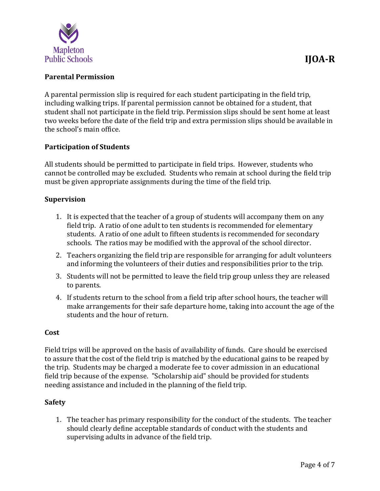

# **Parental Permission**

A parental permission slip is required for each student participating in the field trip, including walking trips. If parental permission cannot be obtained for a student, that student shall not participate in the field trip. Permission slips should be sent home at least two weeks before the date of the field trip and extra permission slips should be available in the school's main office.

# **Participation of Students**

All students should be permitted to participate in field trips. However, students who cannot be controlled may be excluded. Students who remain at school during the field trip must be given appropriate assignments during the time of the field trip.

#### **Supervision**

- 1. It is expected that the teacher of a group of students will accompany them on any field trip. A ratio of one adult to ten students is recommended for elementary students. A ratio of one adult to fifteen students is recommended for secondary schools. The ratios may be modified with the approval of the school director.
- 2. Teachers organizing the field trip are responsible for arranging for adult volunteers and informing the volunteers of their duties and responsibilities prior to the trip.
- 3. Students will not be permitted to leave the field trip group unless they are released to parents.
- 4. If students return to the school from a field trip after school hours, the teacher will make arrangements for their safe departure home, taking into account the age of the students and the hour of return.

#### **Cost**

Field trips will be approved on the basis of availability of funds. Care should be exercised to assure that the cost of the field trip is matched by the educational gains to be reaped by the trip. Students may be charged a moderate fee to cover admission in an educational field trip because of the expense. "Scholarship aid" should be provided for students needing assistance and included in the planning of the field trip.

#### **Safety**

1. The teacher has primary responsibility for the conduct of the students. The teacher should clearly define acceptable standards of conduct with the students and supervising adults in advance of the field trip.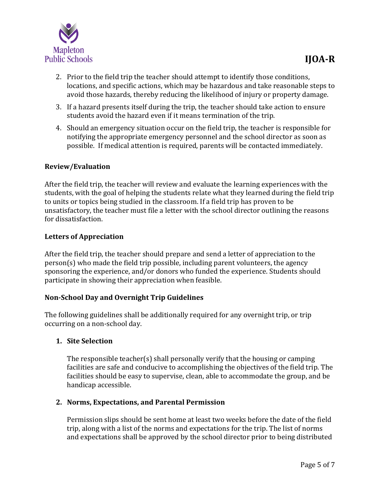- 2. Prior to the field trip the teacher should attempt to identify those conditions, locations, and specific actions, which may be hazardous and take reasonable steps to avoid those hazards, thereby reducing the likelihood of injury or property damage.
- 3. If a hazard presents itself during the trip, the teacher should take action to ensure students avoid the hazard even if it means termination of the trip.
- 4. Should an emergency situation occur on the field trip, the teacher is responsible for notifying the appropriate emergency personnel and the school director as soon as possible. If medical attention is required, parents will be contacted immediately.

# **Review/Evaluation**

After the field trip, the teacher will review and evaluate the learning experiences with the students, with the goal of helping the students relate what they learned during the field trip to units or topics being studied in the classroom. If a field trip has proven to be unsatisfactory, the teacher must file a letter with the school director outlining the reasons for dissatisfaction.

# **Letters of Appreciation**

After the field trip, the teacher should prepare and send a letter of appreciation to the person(s) who made the field trip possible, including parent volunteers, the agency sponsoring the experience, and/or donors who funded the experience. Students should participate in showing their appreciation when feasible.

# **Non-School Day and Overnight Trip Guidelines**

The following guidelines shall be additionally required for any overnight trip, or trip occurring on a non-school day.

# **1. Site Selection**

The responsible teacher(s) shall personally verify that the housing or camping facilities are safe and conducive to accomplishing the objectives of the field trip. The facilities should be easy to supervise, clean, able to accommodate the group, and be handicap accessible.

# **2. Norms, Expectations, and Parental Permission**

Permission slips should be sent home at least two weeks before the date of the field trip, along with a list of the norms and expectations for the trip. The list of norms and expectations shall be approved by the school director prior to being distributed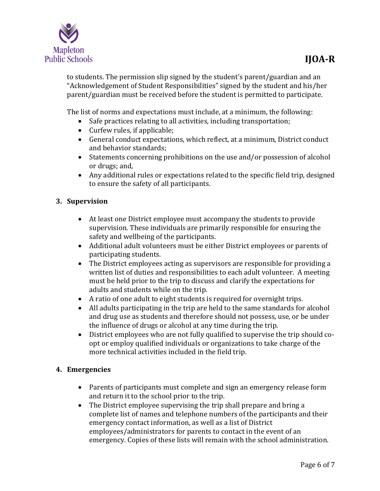

to students. The permission slip signed by the student's parent/guardian and an "Acknowledgement of Student Responsibilities" signed by the student and his/her parent/guardian must be received before the student is permitted to participate.

The list of norms and expectations must include, at a minimum, the following:

- Safe practices relating to all activities, including transportation;
- Curfew rules, if applicable;
- General conduct expectations, which reflect, at a minimum, District conduct and behavior standards;
- Statements concerning prohibitions on the use and/or possession of alcohol or drugs; and,
- Any additional rules or expectations related to the specific field trip, designed to ensure the safety of all participants.

# **3. Supervision**

- At least one District employee must accompany the students to provide supervision. These individuals are primarily responsible for ensuring the safety and wellbeing of the participants.
- Additional adult volunteers must be either District employees or parents of participating students.
- The District employees acting as supervisors are responsible for providing a written list of duties and responsibilities to each adult volunteer. A meeting must be held prior to the trip to discuss and clarify the expectations for adults and students while on the trip.
- A ratio of one adult to eight students is required for overnight trips.
- All adults participating in the trip are held to the same standards for alcohol and drug use as students and therefore should not possess, use, or be under the influence of drugs or alcohol at any time during the trip.
- District employees who are not fully qualified to supervise the trip should coopt or employ qualified individuals or organizations to take charge of the more technical activities included in the field trip.

# **4. Emergencies**

- Parents of participants must complete and sign an emergency release form and return it to the school prior to the trip.
- The District employee supervising the trip shall prepare and bring a complete list of names and telephone numbers of the participants and their emergency contact information, as well as a list of District employees/administrators for parents to contact in the event of an emergency. Copies of these lists will remain with the school administration.